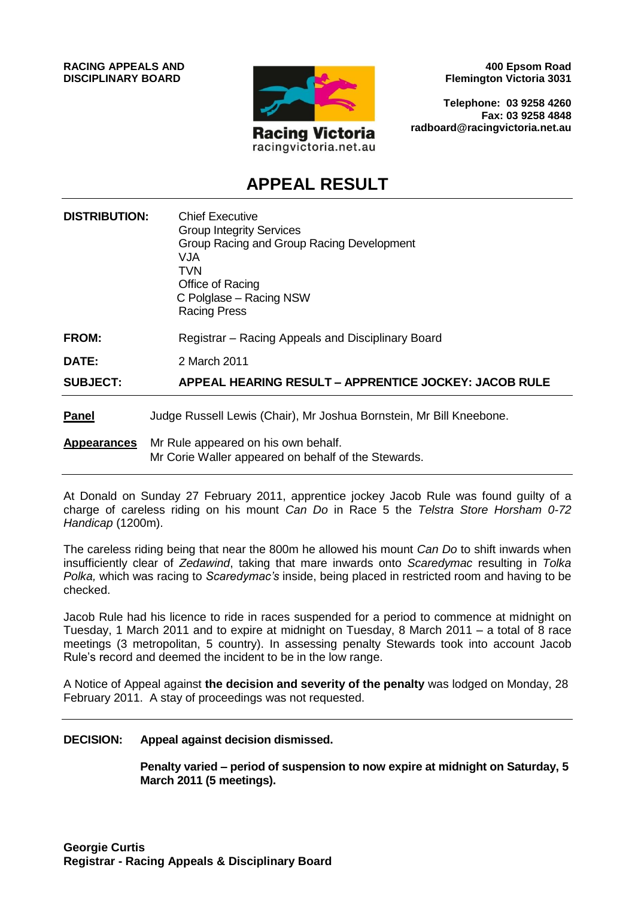

**400 Epsom Road Flemington Victoria 3031**

**Telephone: 03 9258 4260 Fax: 03 9258 4848 radboard@racingvictoria.net.au**

## **APPEAL RESULT**

| <b>DISTRIBUTION:</b> | <b>Chief Executive</b><br><b>Group Integrity Services</b><br>Group Racing and Group Racing Development<br><b>VJA</b><br>TVN<br>Office of Racing<br>C Polglase - Racing NSW<br><b>Racing Press</b> |
|----------------------|---------------------------------------------------------------------------------------------------------------------------------------------------------------------------------------------------|
| <b>FROM:</b>         | Registrar – Racing Appeals and Disciplinary Board                                                                                                                                                 |
| DATE:                | 2 March 2011                                                                                                                                                                                      |
| <b>SUBJECT:</b>      | <b>APPEAL HEARING RESULT - APPRENTICE JOCKEY: JACOB RULE</b>                                                                                                                                      |
| <b>Panel</b>         | Judge Russell Lewis (Chair), Mr Joshua Bornstein, Mr Bill Kneebone.                                                                                                                               |
| <b>Appearances</b>   | Mr Rule appeared on his own behalf.<br>Mr Corie Waller appeared on behalf of the Stewards.                                                                                                        |

At Donald on Sunday 27 February 2011, apprentice jockey Jacob Rule was found guilty of a charge of careless riding on his mount *Can Do* in Race 5 the *Telstra Store Horsham 0-72 Handicap* (1200m).

The careless riding being that near the 800m he allowed his mount *Can Do* to shift inwards when insufficiently clear of *Zedawind*, taking that mare inwards onto *Scaredymac* resulting in *Tolka Polka,* which was racing to *Scaredymac's* inside, being placed in restricted room and having to be checked.

Jacob Rule had his licence to ride in races suspended for a period to commence at midnight on Tuesday, 1 March 2011 and to expire at midnight on Tuesday, 8 March 2011 – a total of 8 race meetings (3 metropolitan, 5 country). In assessing penalty Stewards took into account Jacob Rule's record and deemed the incident to be in the low range.

A Notice of Appeal against **the decision and severity of the penalty** was lodged on Monday, 28 February 2011. A stay of proceedings was not requested.

### **DECISION: Appeal against decision dismissed.**

**Penalty varied – period of suspension to now expire at midnight on Saturday, 5 March 2011 (5 meetings).**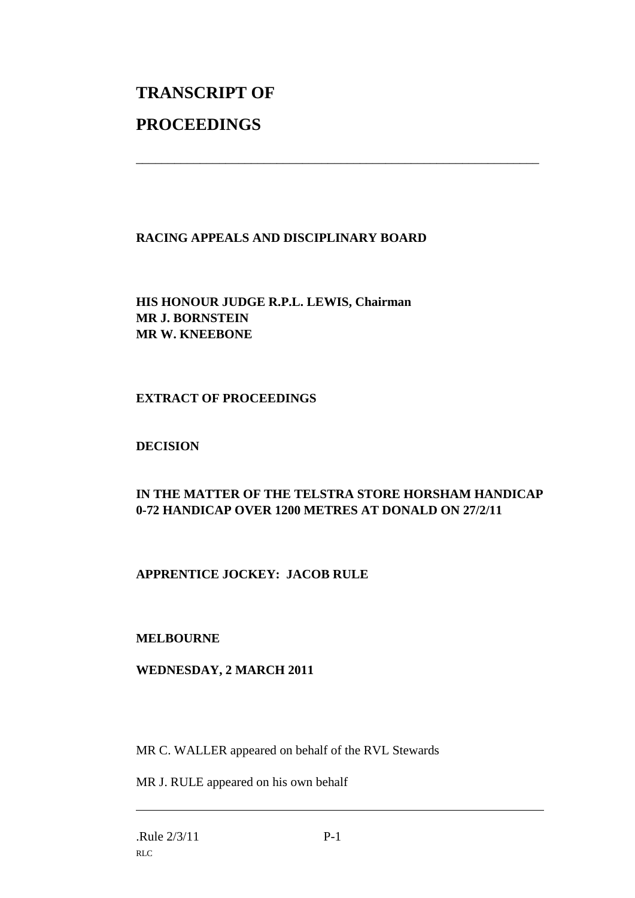# **TRANSCRIPT OF PROCEEDINGS**

## **RACING APPEALS AND DISCIPLINARY BOARD**

\_\_\_\_\_\_\_\_\_\_\_\_\_\_\_\_\_\_\_\_\_\_\_\_\_\_\_\_\_\_\_\_\_\_\_\_\_\_\_\_\_\_\_\_\_\_\_\_\_\_\_\_\_\_\_\_\_\_\_\_\_\_\_

**HIS HONOUR JUDGE R.P.L. LEWIS, Chairman MR J. BORNSTEIN MR W. KNEEBONE**

## **EXTRACT OF PROCEEDINGS**

## **DECISION**

## **IN THE MATTER OF THE TELSTRA STORE HORSHAM HANDICAP 0-72 HANDICAP OVER 1200 METRES AT DONALD ON 27/2/11**

## **APPRENTICE JOCKEY: JACOB RULE**

## **MELBOURNE**

## **WEDNESDAY, 2 MARCH 2011**

MR C. WALLER appeared on behalf of the RVL Stewards

MR J. RULE appeared on his own behalf